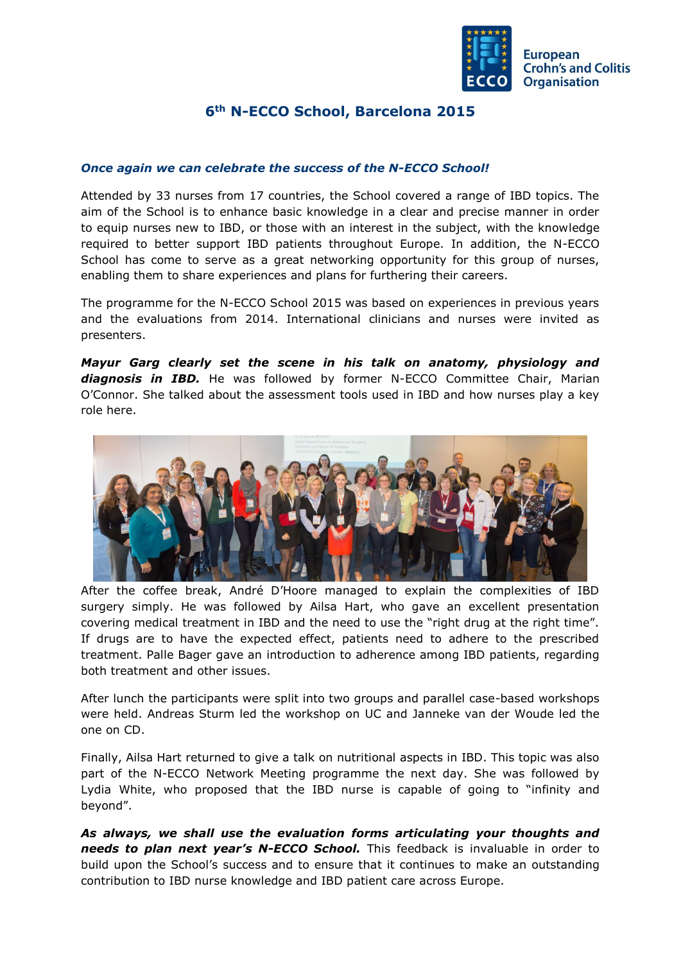

## **6th N-ECCO School, Barcelona 2015**

## *Once again we can celebrate the success of the N-ECCO School!*

Attended by 33 nurses from 17 countries, the School covered a range of IBD topics. The aim of the School is to enhance basic knowledge in a clear and precise manner in order to equip nurses new to IBD, or those with an interest in the subject, with the knowledge required to better support IBD patients throughout Europe. In addition, the N-ECCO School has come to serve as a great networking opportunity for this group of nurses, enabling them to share experiences and plans for furthering their careers.

The programme for the N-ECCO School 2015 was based on experiences in previous years and the evaluations from 2014. International clinicians and nurses were invited as presenters.

*Mayur Garg clearly set the scene in his talk on anatomy, physiology and diagnosis in IBD.* He was followed by former N-ECCO Committee Chair, Marian O'Connor. She talked about the assessment tools used in IBD and how nurses play a key role here.



After the coffee break, André D'Hoore managed to explain the complexities of IBD surgery simply. He was followed by Ailsa Hart, who gave an excellent presentation covering medical treatment in IBD and the need to use the "right drug at the right time". If drugs are to have the expected effect, patients need to adhere to the prescribed treatment. Palle Bager gave an introduction to adherence among IBD patients, regarding both treatment and other issues.

After lunch the participants were split into two groups and parallel case-based workshops were held. Andreas Sturm led the workshop on UC and Janneke van der Woude led the one on CD.

Finally, Ailsa Hart returned to give a talk on nutritional aspects in IBD. This topic was also part of the N-ECCO Network Meeting programme the next day. She was followed by Lydia White, who proposed that the IBD nurse is capable of going to "infinity and beyond".

*As always, we shall use the evaluation forms articulating your thoughts and needs to plan next year's N-ECCO School.* This feedback is invaluable in order to build upon the School's success and to ensure that it continues to make an outstanding contribution to IBD nurse knowledge and IBD patient care across Europe.